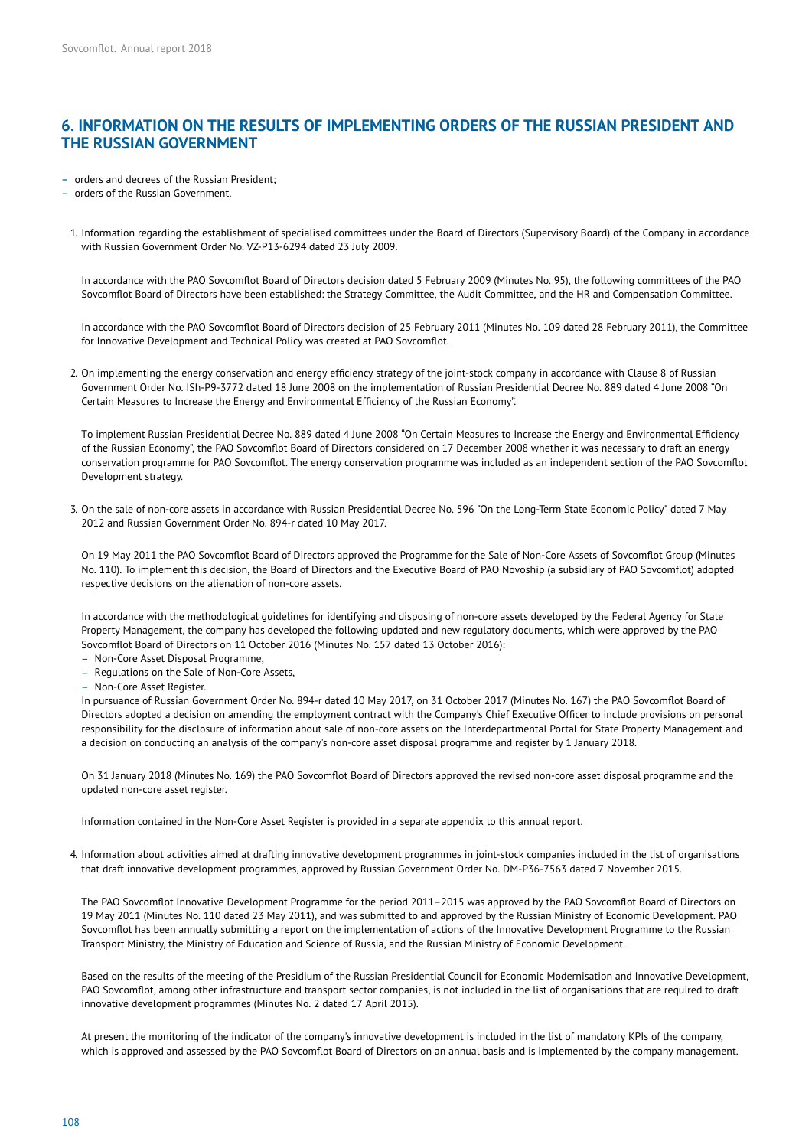## **6. INFORMATION ON THE RESULTS OF IMPLEMENTING ORDERS OF THE RUSSIAN PRESIDENT AND THE RUSSIAN GOVERNMENT**

- orders and decrees of the Russian President;

- orders of the Russian Government.

1. Information regarding the establishment of specialised committees under the Board of Directors (Supervisory Board) of the Company in accordance with Russian Government Order No. VZ-P13-6294 dated 23 July 2009.

In accordance with the PAO Sovcomflot Board of Directors decision dated 5 February 2009 (Minutes No. 95), the following committees of the PAO Sovcomflot Board of Directors have been established: the Strategy Committee, the Audit Committee, and the HR and Compensation Committee.

In accordance with the PAO Sovcomflot Board of Directors decision of 25 February 2011 (Minutes No. 109 dated 28 February 2011), the Committee for Innovative Development and Technical Policy was created at PAO Sovcomflot.

2. On implementing the energy conservation and energy efficiency strategy of the joint-stock company in accordance with Clause 8 of Russian Government Order No. ISh-P9-3772 dated 18 June 2008 on the implementation of Russian Presidential Decree No. 889 dated 4 June 2008 "On Certain Measures to Increase the Energy and Environmental Efficiency of the Russian Economy".

To implement Russian Presidential Decree No. 889 dated 4 June 2008 "On Certain Measures to Increase the Energy and Environmental Efficiency of the Russian Economy", the PAO Sovcomflot Board of Directors considered on 17 December 2008 whether it was necessary to draft an energy conservation programme for PAO Sovcomflot. The energy conservation programme was included as an independent section of the PAO Sovcomflot Development strategy.

3. On the sale of non-core assets in accordance with Russian Presidential Decree No. 596 "On the Long-Term State Economic Policy" dated 7 May 2012 and Russian Government Order No. 894-r dated 10 May 2017.

On 19 May 2011 the PAO Sovcomflot Board of Directors approved the Programme for the Sale of Non-Core Assets of Sovcomflot Group (Minutes No. 110). To implement this decision, the Board of Directors and the Executive Board of PAO Novoship (a subsidiary of PAO Sovcom�ot) adopted respective decisions on the alienation of non-core assets.

In accordance with the methodological guidelines for identifying and disposing of non-core assets developed by the Federal Agency for State Property Management, the company has developed the following updated and new regulatory documents, which were approved by the PAO Sovcomflot Board of Directors on 11 October 2016 (Minutes No. 157 dated 13 October 2016):

- Non-Core Asset Disposal Programme,
- Regulations on the Sale of Non-Core Assets,
- Non-Core Asset Register

In pursuance of Russian Government Order No. 894-r dated 10 May 2017, on 31 October 2017 (Minutes No. 167) the PAO Sovcom�ot Board of Directors adopted a decision on amending the employment contract with the Company's Chief Executive Officer to include provisions on personal responsibility for the disclosure of information about sale of non-core assets on the Interdepartmental Portal for State Property Management and a decision on conducting an analysis of the company's non-core asset disposal programme and register by 1 January 2018.

On 31 January 2018 (Minutes No. 169) the PAO Sovcomflot Board of Directors approved the revised non-core asset disposal programme and the updated non-core asset register.

Information contained in the Non-Core Asset Register is provided in a separate appendix to this annual report.

4. Information about activities aimed at drafting innovative development programmes in joint-stock companies included in the list of organisations that draft innovative development programmes, approved by Russian Government Order No. DM-P36-7563 dated 7 November 2015.

The PAO Sovcomflot Innovative Development Programme for the period 2011-2015 was approved by the PAO Sovcomflot Board of Directors on 19 May 2011 (Minutes No. 110 dated 23 May 2011), and was submitted to and approved by the Russian Ministry of Economic Development. PAO Sovcomflot has been annually submitting a report on the implementation of actions of the Innovative Development Programme to the Russian Transport Ministry, the Ministry of Education and Science of Russia, and the Russian Ministry of Economic Development.

Based on the results of the meeting of the Presidium of the Russian Presidential Council for Economic Modernisation and Innovative Development, PAO Sovcomflot, among other infrastructure and transport sector companies, is not included in the list of organisations that are required to draft innovative development programmes (Minutes No. 2 dated 17 April 2015).

At present the monitoring of the indicator of the company's innovative development is included in the list of mandatory KPIs of the company, which is approved and assessed by the PAO Sovcomflot Board of Directors on an annual basis and is implemented by the company management.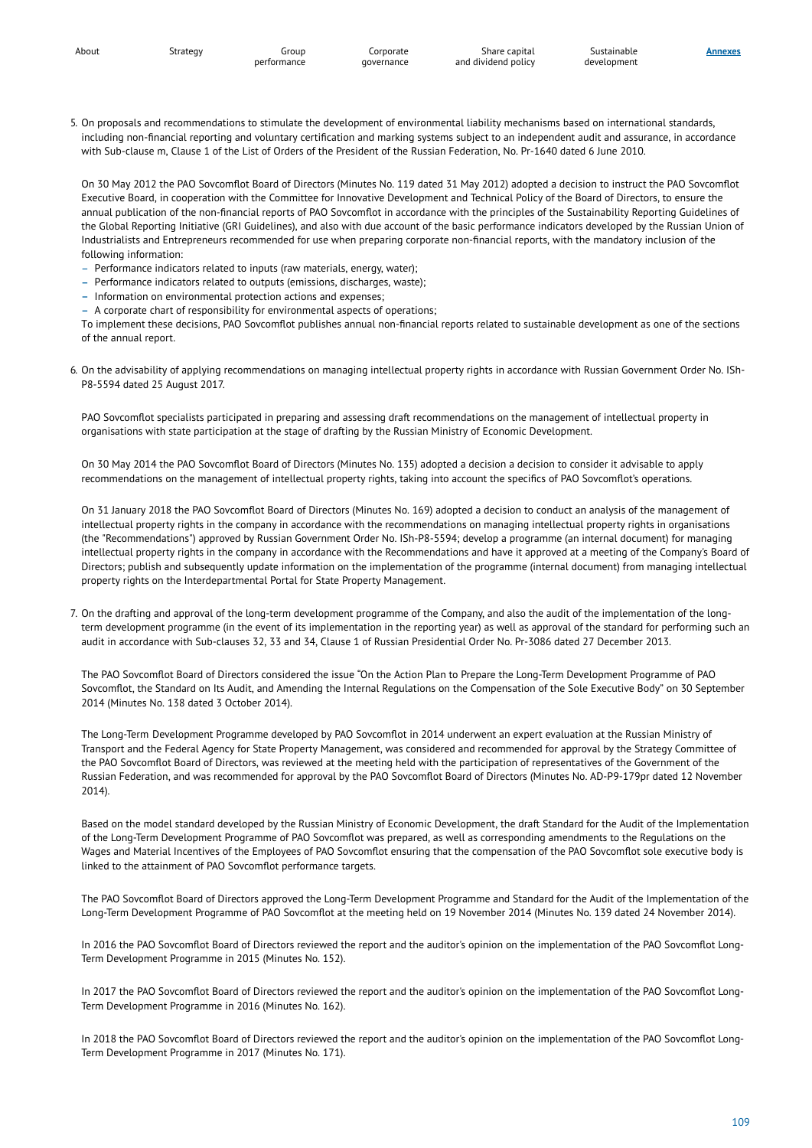Share capital and dividend policy **Annexes**

5. On proposals and recommendations to stimulate the development of environmental liability mechanisms based on international standards, including non-financial reporting and voluntary certification and marking systems subject to an independent audit and assurance, in accordance with Sub-clause m, Clause 1 of the List of Orders of the President of the Russian Federation, No. Pr-1640 dated 6 June 2010.

On 30 May 2012 the PAO Sovcomflot Board of Directors (Minutes No. 119 dated 31 May 2012) adopted a decision to instruct the PAO Sovcomflot Executive Board, in cooperation with the Committee for Innovative Development and Technical Policy of the Board of Directors, to ensure the annual publication of the non-financial reports of PAO Sovcomflot in accordance with the principles of the Sustainability Reporting Guidelines of the Global Reporting Initiative (GRI Guidelines), and also with due account of the basic performance indicators developed by the Russian Union of Industrialists and Entrepreneurs recommended for use when preparing corporate non-financial reports, with the mandatory inclusion of the following information:

- Performance indicators related to inputs (raw materials, energy, water);
- Performance indicators related to outputs (emissions, discharges, waste);
- Information on environmental protection actions and expenses;
- A corporate chart of responsibility for environmental aspects of operations;

To implement these decisions, PAO Sovcomflot publishes annual non-financial reports related to sustainable development as one of the sections of the annual report.

6. On the advisability of applying recommendations on managing intellectual property rights in accordance with Russian Government Order No. ISh-P8-5594 dated 25 August 2017.

PAO Sovcomflot specialists participated in preparing and assessing draft recommendations on the management of intellectual property in organisations with state participation at the stage of drafting by the Russian Ministry of Economic Development.

On 30 May 2014 the PAO Sovcomflot Board of Directors (Minutes No. 135) adopted a decision a decision to consider it advisable to apply recommendations on the management of intellectual property rights, taking into account the specifics of PAO Sovcomflot's operations.

On 31 January 2018 the PAO Sovcomflot Board of Directors (Minutes No. 169) adopted a decision to conduct an analysis of the management of intellectual property rights in the company in accordance with the recommendations on managing intellectual property rights in organisations (the "Recommendations") approved by Russian Government Order No. ISh-P8-5594; develop a programme (an internal document) for managing intellectual property rights in the company in accordance with the Recommendations and have it approved at a meeting of the Company's Board of Directors; publish and subsequently update information on the implementation of the programme (internal document) from managing intellectual property rights on the Interdepartmental Portal for State Property Management.

7. On the drafting and approval of the long-term development programme of the Company, and also the audit of the implementation of the longterm development programme (in the event of its implementation in the reporting year) as well as approval of the standard for performing such an audit in accordance with Sub-clauses 32, 33 and 34, Clause 1 of Russian Presidential Order No. Pr-3086 dated 27 December 2013.

The PAO Sovcomflot Board of Directors considered the issue "On the Action Plan to Prepare the Long-Term Development Programme of PAO Sovcomflot, the Standard on Its Audit, and Amending the Internal Regulations on the Compensation of the Sole Executive Body" on 30 September 2014 (Minutes No. 138 dated 3 October 2014).

The Long-Term Development Programme developed by PAO Sovcom�ot in 2014 underwent an expert evaluation at the Russian Ministry of Transport and the Federal Agency for State Property Management, was considered and recommended for approval by the Strategy Committee of the PAO Sovcomflot Board of Directors, was reviewed at the meeting held with the participation of representatives of the Government of the Russian Federation, and was recommended for approval by the PAO Sovcomflot Board of Directors (Minutes No. AD-P9-179pr dated 12 November 2014).

Based on the model standard developed by the Russian Ministry of Economic Development, the draft Standard for the Audit of the Implementation of the Long-Term Development Programme of PAO Sovcomflot was prepared, as well as corresponding amendments to the Regulations on the Wages and Material Incentives of the Employees of PAO Sovcomflot ensuring that the compensation of the PAO Sovcomflot sole executive body is linked to the attainment of PAO Sovcomflot performance targets.

The PAO Sovcomflot Board of Directors approved the Long-Term Development Programme and Standard for the Audit of the Implementation of the Long-Term Development Programme of PAO Sovcomflot at the meeting held on 19 November 2014 (Minutes No. 139 dated 24 November 2014).

In 2016 the PAO Sovcomflot Board of Directors reviewed the report and the auditor's opinion on the implementation of the PAO Sovcomflot Long-Term Development Programme in 2015 (Minutes No. 152).

In 2017 the PAO Sovcomflot Board of Directors reviewed the report and the auditor's opinion on the implementation of the PAO Sovcomflot Long-Term Development Programme in 2016 (Minutes No. 162).

In 2018 the PAO Sovcomflot Board of Directors reviewed the report and the auditor's opinion on the implementation of the PAO Sovcomflot Long-Term Development Programme in 2017 (Minutes No. 171).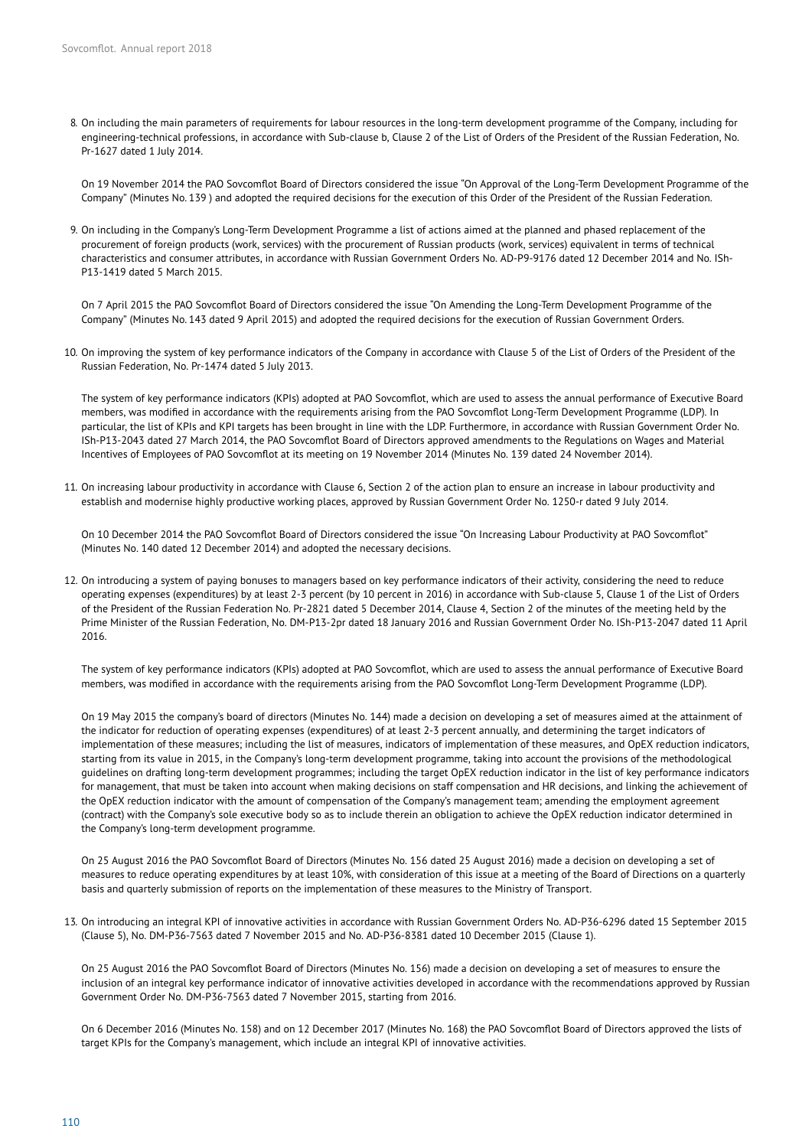8. On including the main parameters of requirements for labour resources in the long-term development programme of the Company, including for engineering-technical professions, in accordance with Sub-clause b, Clause 2 of the List of Orders of the President of the Russian Federation, No. Pr-1627 dated 1 July 2014.

On 19 November 2014 the PAO Sovcomflot Board of Directors considered the issue "On Approval of the Long-Term Development Programme of the Company" (Minutes No. 139 ) and adopted the required decisions for the execution of this Order of the President of the Russian Federation.

9. On including in the Company's Long-Term Development Programme a list of actions aimed at the planned and phased replacement of the procurement of foreign products (work, services) with the procurement of Russian products (work, services) equivalent in terms of technical characteristics and consumer attributes, in accordance with Russian Government Orders No. AD-P9-9176 dated 12 December 2014 and No. ISh-P13-1419 dated 5 March 2015.

On 7 April 2015 the PAO Sovcomflot Board of Directors considered the issue "On Amending the Long-Term Development Programme of the Company" (Minutes No. 143 dated 9 April 2015) and adopted the required decisions for the execution of Russian Government Orders.

10. On improving the system of key performance indicators of the Company in accordance with Clause 5 of the List of Orders of the President of the Russian Federation, No. Pr-1474 dated 5 July 2013.

The system of key performance indicators (KPIs) adopted at PAO Sovcom�ot, which are used to assess the annual performance of Executive Board members, was modified in accordance with the requirements arising from the PAO Sovcomflot Long-Term Development Programme (LDP). In particular, the list of KPIs and KPI targets has been brought in line with the LDP. Furthermore, in accordance with Russian Government Order No. ISh-P13-2043 dated 27 March 2014, the PAO Sovcomflot Board of Directors approved amendments to the Regulations on Wages and Material Incentives of Employees of PAO Sovcomflot at its meeting on 19 November 2014 (Minutes No. 139 dated 24 November 2014).

11. On increasing labour productivity in accordance with Clause 6, Section 2 of the action plan to ensure an increase in labour productivity and establish and modernise highly productive working places, approved by Russian Government Order No. 1250-r dated 9 July 2014.

On 10 December 2014 the PAO Sovcomflot Board of Directors considered the issue "On Increasing Labour Productivity at PAO Sovcomflot" (Minutes No. 140 dated 12 December 2014) and adopted the necessary decisions.

12. On introducing a system of paying bonuses to managers based on key performance indicators of their activity, considering the need to reduce operating expenses (expenditures) by at least 2-3 percent (by 10 percent in 2016) in accordance with Sub-clause 5, Clause 1 of the List of Orders of the President of the Russian Federation No. Pr-2821 dated 5 December 2014, Clause 4, Section 2 of the minutes of the meeting held by the Prime Minister of the Russian Federation, No. DM-P13-2pr dated 18 January 2016 and Russian Government Order No. ISh-P13-2047 dated 11 April 2016.

The system of key performance indicators (KPIs) adopted at PAO Sovcom�ot, which are used to assess the annual performance of Executive Board members, was modified in accordance with the requirements arising from the PAO Sovcomflot Long-Term Development Programme (LDP).

On 19 May 2015 the company's board of directors (Minutes No. 144) made a decision on developing a set of measures aimed at the attainment of the indicator for reduction of operating expenses (expenditures) of at least 2-3 percent annually, and determining the target indicators of implementation of these measures; including the list of measures, indicators of implementation of these measures, and OpEX reduction indicators, starting from its value in 2015, in the Company's long-term development programme, taking into account the provisions of the methodological guidelines on drafting long-term development programmes; including the target OpEX reduction indicator in the list of key performance indicators for management, that must be taken into account when making decisions on staff compensation and HR decisions, and linking the achievement of the OpEX reduction indicator with the amount of compensation of the Company's management team; amending the employment agreement (contract) with the Company's sole executive body so as to include therein an obligation to achieve the OpEX reduction indicator determined in the Company's long-term development programme.

On 25 August 2016 the PAO Sovcom�ot Board of Directors (Minutes No. 156 dated 25 August 2016) made a decision on developing a set of measures to reduce operating expenditures by at least 10%, with consideration of this issue at a meeting of the Board of Directions on a quarterly basis and quarterly submission of reports on the implementation of these measures to the Ministry of Transport.

13. On introducing an integral KPI of innovative activities in accordance with Russian Government Orders No. AD-P36-6296 dated 15 September 2015 (Clause 5), No. DM-P36-7563 dated 7 November 2015 and No. AD-P36-8381 dated 10 December 2015 (Clause 1).

On 25 August 2016 the PAO Sovcomflot Board of Directors (Minutes No. 156) made a decision on developing a set of measures to ensure the inclusion of an integral key performance indicator of innovative activities developed in accordance with the recommendations approved by Russian Government Order No. DM-P36-7563 dated 7 November 2015, starting from 2016.

On 6 December 2016 (Minutes No. 158) and on 12 December 2017 (Minutes No. 168) the PAO Sovcom�ot Board of Directors approved the lists of target KPIs for the Company's management, which include an integral KPI of innovative activities.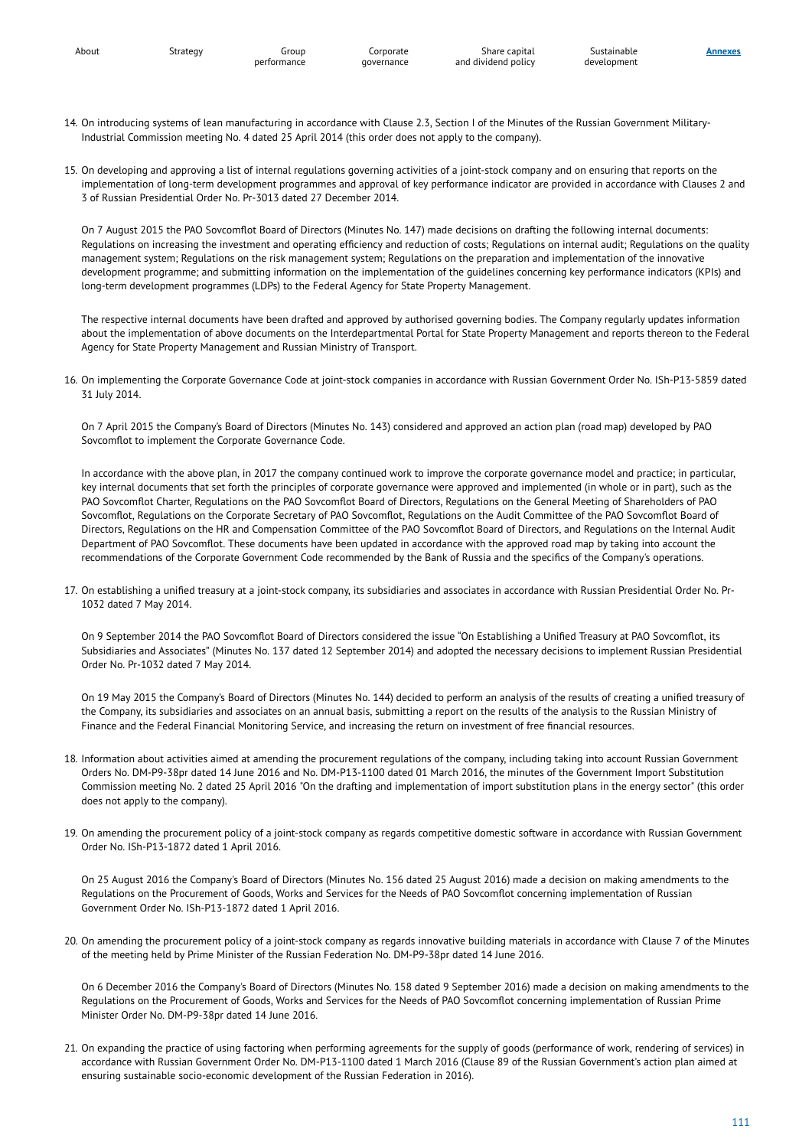3 of Russian Presidential Order No. Pr-3013 dated 27 December 2014.

Industrial Commission meeting No. 4 dated 25 April 2014 (this order does not apply to the company).

**Annexes**

- 14. On introducing systems of lean manufacturing in accordance with Clause 2.3, Section I of the Minutes of the Russian Government Military-
- 15. On developing and approving a list of internal regulations governing activities of a joint-stock company and on ensuring that reports on the implementation of long-term development programmes and approval of key performance indicator are provided in accordance with Clauses 2 and

On 7 August 2015 the PAO Sovcomflot Board of Directors (Minutes No. 147) made decisions on drafting the following internal documents: Regulations on increasing the investment and operating efficiency and reduction of costs; Regulations on internal audit; Regulations on the quality management system; Regulations on the risk management system; Regulations on the preparation and implementation of the innovative development programme; and submitting information on the implementation of the guidelines concerning key performance indicators (KPIs) and long-term development programmes (LDPs) to the Federal Agency for State Property Management.

The respective internal documents have been drafted and approved by authorised governing bodies. The Company regularly updates information about the implementation of above documents on the Interdepartmental Portal for State Property Management and reports thereon to the Federal Agency for State Property Management and Russian Ministry of Transport.

16. On implementing the Corporate Governance Code at joint-stock companies in accordance with Russian Government Order No. ISh-P13-5859 dated 31 July 2014.

On 7 April 2015 the Company's Board of Directors (Minutes No. 143) considered and approved an action plan (road map) developed by PAO Sovcomflot to implement the Corporate Governance Code.

In accordance with the above plan, in 2017 the company continued work to improve the corporate governance model and practice; in particular, key internal documents that set forth the principles of corporate governance were approved and implemented (in whole or in part), such as the PAO Sovcomflot Charter, Regulations on the PAO Sovcomflot Board of Directors, Regulations on the General Meeting of Shareholders of PAO Sovcomflot, Regulations on the Corporate Secretary of PAO Sovcomflot, Regulations on the Audit Committee of the PAO Sovcomflot Board of Directors, Regulations on the HR and Compensation Committee of the PAO Sovcom�ot Board of Directors, and Regulations on the Internal Audit Department of PAO Sovcomflot. These documents have been updated in accordance with the approved road map by taking into account the recommendations of the Corporate Government Code recommended by the Bank of Russia and the speci�cs of the Company's operations.

17. On establishing a unified treasury at a joint-stock company, its subsidiaries and associates in accordance with Russian Presidential Order No. Pr-1032 dated 7 May 2014.

On 9 September 2014 the PAO Sovcomflot Board of Directors considered the issue "On Establishing a Unified Treasury at PAO Sovcomflot, its Subsidiaries and Associates" (Minutes No. 137 dated 12 September 2014) and adopted the necessary decisions to implement Russian Presidential Order No. Pr-1032 dated 7 May 2014.

On 19 May 2015 the Company's Board of Directors (Minutes No. 144) decided to perform an analysis of the results of creating a uni�ed treasury of the Company, its subsidiaries and associates on an annual basis, submitting a report on the results of the analysis to the Russian Ministry of Finance and the Federal Financial Monitoring Service, and increasing the return on investment of free financial resources.

- 18. Information about activities aimed at amending the procurement regulations of the company, including taking into account Russian Government Orders No. DM-P9-38pr dated 14 June 2016 and No. DM-P13-1100 dated 01 March 2016, the minutes of the Government Import Substitution Commission meeting No. 2 dated 25 April 2016 "On the drafting and implementation of import substitution plans in the energy sector" (this order does not apply to the company).
- 19. On amending the procurement policy of a joint-stock company as regards competitive domestic software in accordance with Russian Government Order No. ISh-P13-1872 dated 1 April 2016.

On 25 August 2016 the Company's Board of Directors (Minutes No. 156 dated 25 August 2016) made a decision on making amendments to the Regulations on the Procurement of Goods, Works and Services for the Needs of PAO Sovcomflot concerning implementation of Russian Government Order No. ISh-P13-1872 dated 1 April 2016.

20. On amending the procurement policy of a joint-stock company as regards innovative building materials in accordance with Clause 7 of the Minutes of the meeting held by Prime Minister of the Russian Federation No. DM-P9-38pr dated 14 June 2016.

On 6 December 2016 the Company's Board of Directors (Minutes No. 158 dated 9 September 2016) made a decision on making amendments to the Regulations on the Procurement of Goods, Works and Services for the Needs of PAO Sovcomflot concerning implementation of Russian Prime Minister Order No. DM-P9-38pr dated 14 June 2016.

21. On expanding the practice of using factoring when performing agreements for the supply of goods (performance of work, rendering of services) in accordance with Russian Government Order No. DM-P13-1100 dated 1 March 2016 (Clause 89 of the Russian Government's action plan aimed at ensuring sustainable socio-economic development of the Russian Federation in 2016).